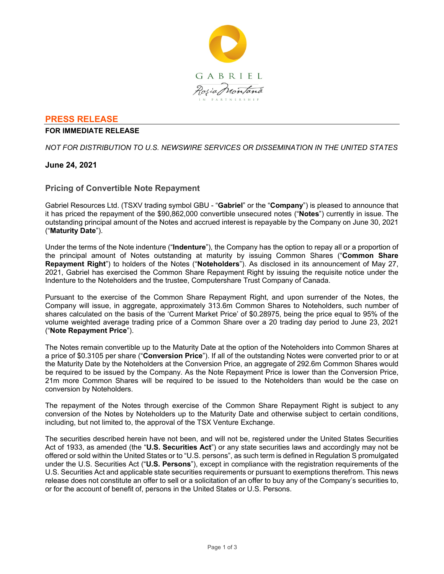

## **PRESS RELEASE**

### **FOR IMMEDIATE RELEASE**

*NOT FOR DISTRIBUTION TO U.S. NEWSWIRE SERVICES OR DISSEMINATION IN THE UNITED STATES*

## **June 24, 2021**

## **Pricing of Convertible Note Repayment**

Gabriel Resources Ltd. (TSXV trading symbol GBU - "**Gabriel**" or the "**Company**") is pleased to announce that it has priced the repayment of the \$90,862,000 convertible unsecured notes ("**Notes**") currently in issue. The outstanding principal amount of the Notes and accrued interest is repayable by the Company on June 30, 2021 ("**Maturity Date**").

Under the terms of the Note indenture ("**Indenture**"), the Company has the option to repay all or a proportion of the principal amount of Notes outstanding at maturity by issuing Common Shares ("**Common Share Repayment Right**") to holders of the Notes ("**Noteholders**"). As disclosed in its announcement of May 27, 2021, Gabriel has exercised the Common Share Repayment Right by issuing the requisite notice under the Indenture to the Noteholders and the trustee, Computershare Trust Company of Canada.

Pursuant to the exercise of the Common Share Repayment Right, and upon surrender of the Notes, the Company will issue, in aggregate, approximately 313.6m Common Shares to Noteholders, such number of shares calculated on the basis of the 'Current Market Price' of \$0.28975, being the price equal to 95% of the volume weighted average trading price of a Common Share over a 20 trading day period to June 23, 2021 ("**Note Repayment Price**").

The Notes remain convertible up to the Maturity Date at the option of the Noteholders into Common Shares at a price of \$0.3105 per share ("**Conversion Price**"). If all of the outstanding Notes were converted prior to or at the Maturity Date by the Noteholders at the Conversion Price, an aggregate of 292.6m Common Shares would be required to be issued by the Company. As the Note Repayment Price is lower than the Conversion Price, 21m more Common Shares will be required to be issued to the Noteholders than would be the case on conversion by Noteholders.

The repayment of the Notes through exercise of the Common Share Repayment Right is subject to any conversion of the Notes by Noteholders up to the Maturity Date and otherwise subject to certain conditions, including, but not limited to, the approval of the TSX Venture Exchange.

The securities described herein have not been, and will not be, registered under the United States Securities Act of 1933, as amended (the "**U.S. Securities Act**") or any state securities laws and accordingly may not be offered or sold within the United States or to "U.S. persons", as such term is defined in Regulation S promulgated under the U.S. Securities Act ("**U.S. Persons**"), except in compliance with the registration requirements of the U.S. Securities Act and applicable state securities requirements or pursuant to exemptions therefrom. This news release does not constitute an offer to sell or a solicitation of an offer to buy any of the Company's securities to, or for the account of benefit of, persons in the United States or U.S. Persons.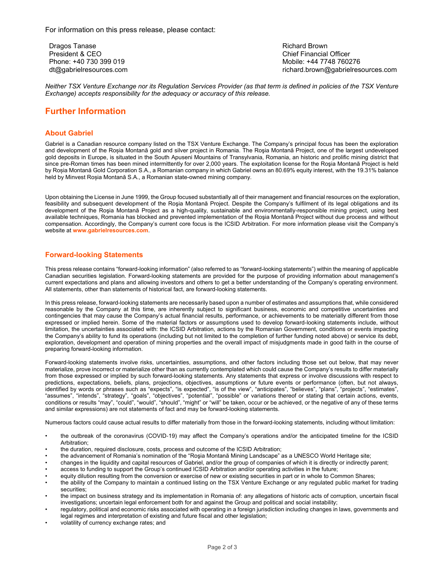Dragos Tanase President & CEO Phone: +40 730 399 019 dt@gabrielresources.com Richard Brown Chief Financial Officer Mobile: +44 7748 760276 richard.brown@gabrielresources.com

*Neither TSX Venture Exchange nor its Regulation Services Provider (as that term is defined in policies of the TSX Venture Exchange) accepts responsibility for the adequacy or accuracy of this release.*

# **Further Information**

#### **About Gabriel**

Gabriel is a Canadian resource company listed on the TSX Venture Exchange. The Company's principal focus has been the exploration and development of the Roșia Montană gold and silver project in Romania. The Roşia Montană Project, one of the largest undeveloped gold deposits in Europe, is situated in the South Apuseni Mountains of Transylvania, Romania, an historic and prolific mining district that since pre-Roman times has been mined intermittently for over 2,000 years. The exploitation license for the Roşia Montană Project is held by Roșia Montană Gold Corporation S.A., a Romanian company in which Gabriel owns an 80.69% equity interest, with the 19.31% balance held by Minvest Roșia Montană S.A., a Romanian state-owned mining company.

Upon obtaining the License in June 1999, the Group focused substantially all of their management and financial resources on the exploration, feasibility and subsequent development of the Roşia Montană Project. Despite the Company's fulfilment of its legal obligations and its development of the Roşia Montană Project as a high-quality, sustainable and environmentally-responsible mining project, using best available techniques, Romania has blocked and prevented implementation of the Roşia Montană Project without due process and without compensation. Accordingly, the Company's current core focus is the ICSID Arbitration. For more information please visit the Company's website at **www.gabrielresources.com**.

#### **Forward-looking Statements**

This press release contains "forward-looking information" (also referred to as "forward-looking statements") within the meaning of applicable Canadian securities legislation. Forward-looking statements are provided for the purpose of providing information about management's current expectations and plans and allowing investors and others to get a better understanding of the Company's operating environment. All statements, other than statements of historical fact, are forward-looking statements.

In this press release, forward-looking statements are necessarily based upon a number of estimates and assumptions that, while considered reasonable by the Company at this time, are inherently subject to significant business, economic and competitive uncertainties and contingencies that may cause the Company's actual financial results, performance, or achievements to be materially different from those expressed or implied herein. Some of the material factors or assumptions used to develop forward-looking statements include, without limitation, the uncertainties associated with: the ICSID Arbitration, actions by the Romanian Government, conditions or events impacting the Company's ability to fund its operations (including but not limited to the completion of further funding noted above) or service its debt, exploration, development and operation of mining properties and the overall impact of misjudgments made in good faith in the course of preparing forward-looking information.

Forward-looking statements involve risks, uncertainties, assumptions, and other factors including those set out below, that may never materialize, prove incorrect or materialize other than as currently contemplated which could cause the Company's results to differ materially from those expressed or implied by such forward-looking statements. Any statements that express or involve discussions with respect to predictions, expectations, beliefs, plans, projections, objectives, assumptions or future events or performance (often, but not always, identified by words or phrases such as "expects", "is expected", "is of the view", "anticipates", "believes", "plans", "projects", "estimates", "assumes", "intends", "strategy", "goals", "objectives", "potential", "possible" or variations thereof or stating that certain actions, events, conditions or results "may", "could", "would", "should", "might" or "will" be taken, occur or be achieved, or the negative of any of these terms and similar expressions) are not statements of fact and may be forward-looking statements.

Numerous factors could cause actual results to differ materially from those in the forward-looking statements, including without limitation:

- the outbreak of the coronavirus (COVID‐19) may affect the Company's operations and/or the anticipated timeline for the ICSID Arbitration;
- the duration, required disclosure, costs, process and outcome of the ICSID Arbitration;
- the advancement of Romania's nomination of the "Roşia Montană Mining Landscape" as a UNESCO World Heritage site;
- changes in the liquidity and capital resources of Gabriel, and/or the group of companies of which it is directly or indirectly parent;
- access to funding to support the Group's continued ICSID Arbitration and/or operating activities in the future;
- equity dilution resulting from the conversion or exercise of new or existing securities in part or in whole to Common Shares;
- the ability of the Company to maintain a continued listing on the TSX Venture Exchange or any regulated public market for trading securities;
- the impact on business strategy and its implementation in Romania of: any allegations of historic acts of corruption, uncertain fiscal investigations; uncertain legal enforcement both for and against the Group and political and social instability;
- regulatory, political and economic risks associated with operating in a foreign jurisdiction including changes in laws, governments and legal regimes and interpretation of existing and future fiscal and other legislation;
- volatility of currency exchange rates; and